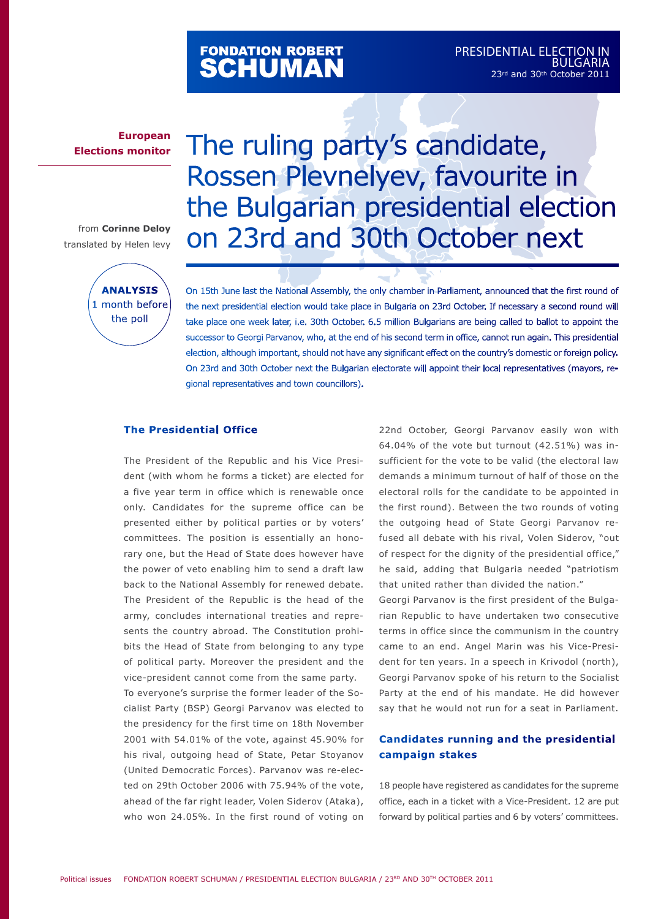# FONDATION ROBERT<br>**SCHUMAN**

### **European Elections monitor**

from **Corinne Deloy** translated by Helen levy



# The ruling party's candidate, Rossen Plevnelyev, favourite in the Bulgarian presidential election on 23rd and 30th October next

On 15th June last the National Assembly, the only chamber in Parliament, announced that the first round of the next presidential election would take place in Bulgaria on 23rd October. If necessary a second round will take place one week later, i.e. 30th October. 6.5 million Bulgarians are being called to ballot to appoint the successor to Georgi Parvanov, who, at the end of his second term in office, cannot run again. This presidential election, although important, should not have any significant effect on the country's domestic or foreign policy. On 23rd and 30th October next the Bulgarian electorate will appoint their local representatives (mayors, regional representatives and town councillors).

#### **The Presidential Office**

The President of the Republic and his Vice President (with whom he forms a ticket) are elected for a five year term in office which is renewable once only. Candidates for the supreme office can be presented either by political parties or by voters' committees. The position is essentially an honorary one, but the Head of State does however have the power of veto enabling him to send a draft law back to the National Assembly for renewed debate. The President of the Republic is the head of the army, concludes international treaties and represents the country abroad. The Constitution prohibits the Head of State from belonging to any type of political party. Moreover the president and the vice-president cannot come from the same party. To everyone's surprise the former leader of the Socialist Party (BSP) Georgi Parvanov was elected to the presidency for the first time on 18th November 2001 with 54.01% of the vote, against 45.90% for his rival, outgoing head of State, Petar Stoyanov (United Democratic Forces). Parvanov was re-elected on 29th October 2006 with 75.94% of the vote, ahead of the far right leader, Volen Siderov (Ataka), who won 24.05%. In the first round of voting on

22nd October, Georgi Parvanov easily won with 64.04% of the vote but turnout (42.51%) was insufficient for the vote to be valid (the electoral law demands a minimum turnout of half of those on the electoral rolls for the candidate to be appointed in the first round). Between the two rounds of voting the outgoing head of State Georgi Parvanov refused all debate with his rival, Volen Siderov, "out of respect for the dignity of the presidential office," he said, adding that Bulgaria needed "patriotism that united rather than divided the nation."

Georgi Parvanov is the first president of the Bulgarian Republic to have undertaken two consecutive terms in office since the communism in the country came to an end. Angel Marin was his Vice-President for ten years. In a speech in Krivodol (north), Georgi Parvanov spoke of his return to the Socialist Party at the end of his mandate. He did however say that he would not run for a seat in Parliament.

### **Candidates running and the presidential campaign stakes**

18 people have registered as candidates for the supreme office, each in a ticket with a Vice-President. 12 are put forward by political parties and 6 by voters' committees.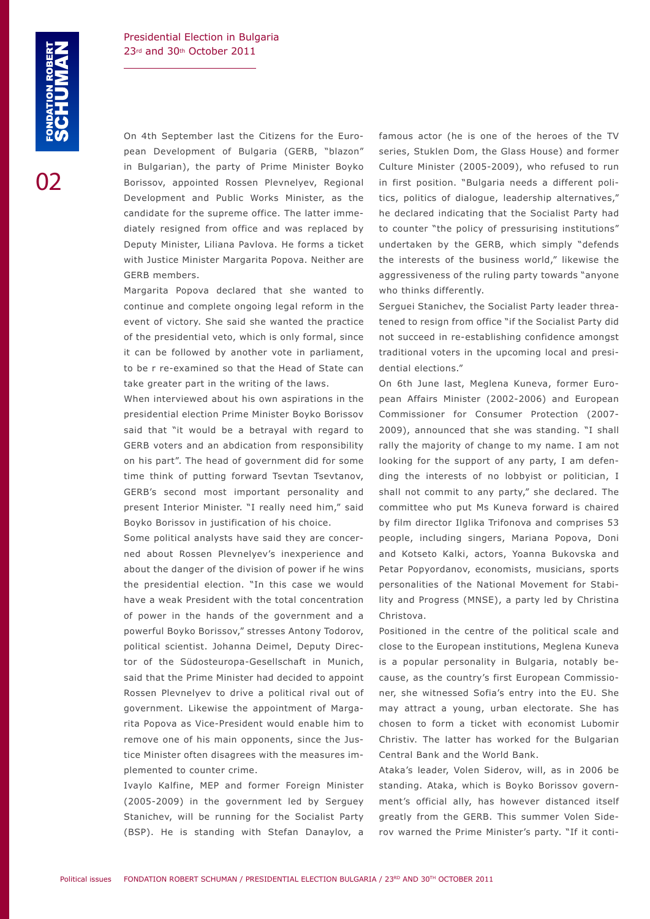On 4th September last the Citizens for the European Development of Bulgaria (GERB, "blazon" in Bulgarian), the party of Prime Minister Boyko Borissov, appointed Rossen Plevnelyev, Regional Development and Public Works Minister, as the candidate for the supreme office. The latter immediately resigned from office and was replaced by Deputy Minister, Liliana Pavlova. He forms a ticket with Justice Minister Margarita Popova. Neither are GERB members.

Margarita Popova declared that she wanted to continue and complete ongoing legal reform in the event of victory. She said she wanted the practice of the presidential veto, which is only formal, since it can be followed by another vote in parliament, to be r re-examined so that the Head of State can take greater part in the writing of the laws.

When interviewed about his own aspirations in the presidential election Prime Minister Boyko Borissov said that "it would be a betrayal with regard to GERB voters and an abdication from responsibility on his part". The head of government did for some time think of putting forward Tsevtan Tsevtanov, GERB's second most important personality and present Interior Minister. "I really need him," said Boyko Borissov in justification of his choice.

Some political analysts have said they are concerned about Rossen Plevnelyev's inexperience and about the danger of the division of power if he wins the presidential election. "In this case we would have a weak President with the total concentration of power in the hands of the government and a powerful Boyko Borissov," stresses Antony Todorov, political scientist. Johanna Deimel, Deputy Director of the Südosteuropa-Gesellschaft in Munich, said that the Prime Minister had decided to appoint Rossen Plevnelyev to drive a political rival out of government. Likewise the appointment of Margarita Popova as Vice-President would enable him to remove one of his main opponents, since the Justice Minister often disagrees with the measures implemented to counter crime.

Ivaylo Kalfine, MEP and former Foreign Minister (2005-2009) in the government led by Serguey Stanichev, will be running for the Socialist Party (BSP). He is standing with Stefan Danaylov, a famous actor (he is one of the heroes of the TV series, Stuklen Dom, the Glass House) and former Culture Minister (2005-2009), who refused to run in first position. "Bulgaria needs a different politics, politics of dialogue, leadership alternatives," he declared indicating that the Socialist Party had to counter "the policy of pressurising institutions" undertaken by the GERB, which simply "defends the interests of the business world," likewise the aggressiveness of the ruling party towards "anyone who thinks differently.

Serguei Stanichev, the Socialist Party leader threatened to resign from office "if the Socialist Party did not succeed in re-establishing confidence amongst traditional voters in the upcoming local and presidential elections."

On 6th June last, Meglena Kuneva, former European Affairs Minister (2002-2006) and European Commissioner for Consumer Protection (2007- 2009), announced that she was standing. "I shall rally the majority of change to my name. I am not looking for the support of any party, I am defending the interests of no lobbyist or politician, I shall not commit to any party," she declared. The committee who put Ms Kuneva forward is chaired by film director Ilglika Trifonova and comprises 53 people, including singers, Mariana Popova, Doni and Kotseto Kalki, actors, Yoanna Bukovska and Petar Popyordanov, economists, musicians, sports personalities of the National Movement for Stability and Progress (MNSE), a party led by Christina Christova.

Positioned in the centre of the political scale and close to the European institutions, Meglena Kuneva is a popular personality in Bulgaria, notably because, as the country's first European Commissioner, she witnessed Sofia's entry into the EU. She may attract a young, urban electorate. She has chosen to form a ticket with economist Lubomir Christiv. The latter has worked for the Bulgarian Central Bank and the World Bank.

Ataka's leader, Volen Siderov, will, as in 2006 be standing. Ataka, which is Boyko Borissov government's official ally, has however distanced itself greatly from the GERB. This summer Volen Siderov warned the Prime Minister's party. "If it conti-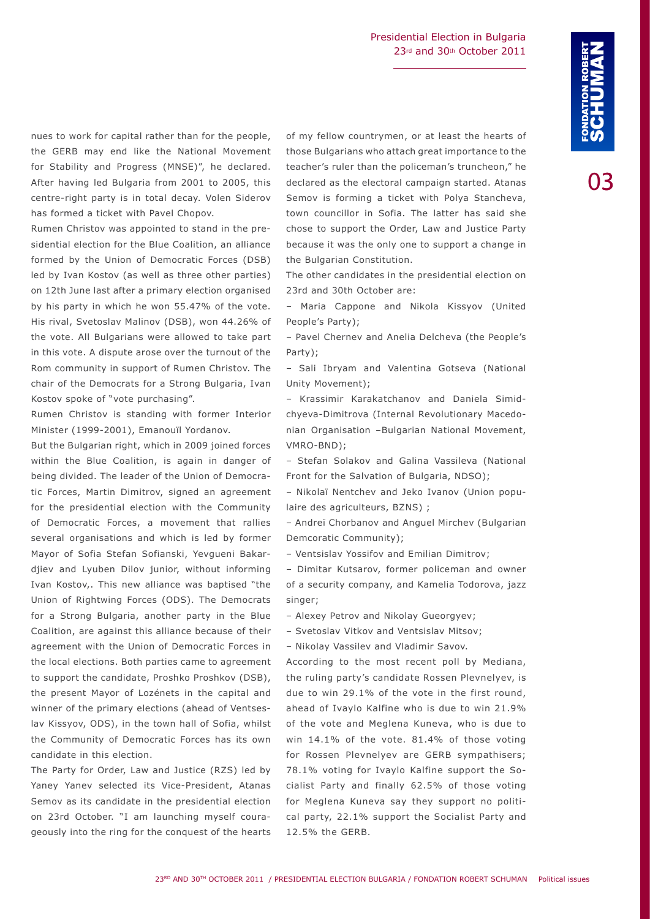በ3

the GERB may end like the National Movement for Stability and Progress (MNSE)", he declared. After having led Bulgaria from 2001 to 2005, this centre-right party is in total decay. Volen Siderov has formed a ticket with Pavel Chopov.

Rumen Christov was appointed to stand in the presidential election for the Blue Coalition, an alliance formed by the Union of Democratic Forces (DSB) led by Ivan Kostov (as well as three other parties) on 12th June last after a primary election organised by his party in which he won 55.47% of the vote. His rival, Svetoslav Malinov (DSB), won 44.26% of the vote. All Bulgarians were allowed to take part in this vote. A dispute arose over the turnout of the Rom community in support of Rumen Christov. The chair of the Democrats for a Strong Bulgaria, Ivan Kostov spoke of "vote purchasing".

Rumen Christov is standing with former Interior Minister (1999-2001), Emanouïl Yordanov.

But the Bulgarian right, which in 2009 joined forces within the Blue Coalition, is again in danger of being divided. The leader of the Union of Democratic Forces, Martin Dimitrov, signed an agreement for the presidential election with the Community of Democratic Forces, a movement that rallies several organisations and which is led by former Mayor of Sofia Stefan Sofianski, Yevgueni Bakardjiev and Lyuben Dilov junior, without informing Ivan Kostov,. This new alliance was baptised "the Union of Rightwing Forces (ODS). The Democrats for a Strong Bulgaria, another party in the Blue Coalition, are against this alliance because of their agreement with the Union of Democratic Forces in the local elections. Both parties came to agreement to support the candidate, Proshko Proshkov (DSB), the present Mayor of Lozénets in the capital and winner of the primary elections (ahead of Ventseslav Kissyov, ODS), in the town hall of Sofia, whilst the Community of Democratic Forces has its own candidate in this election.

The Party for Order, Law and Justice (RZS) led by Yaney Yanev selected its Vice-President, Atanas Semov as its candidate in the presidential election on 23rd October. "I am launching myself courageously into the ring for the conquest of the hearts

nues to work for capital rather than for the people, of my fellow countrymen, or at least the hearts of<br>the GERB may end like the National Movement those Bulgarians who attach great importance to the<br>for Stability and Prog of my fellow countrymen, or at least the hearts of those Bulgarians who attach great importance to the teacher's ruler than the policeman's truncheon," he declared as the electoral campaign started. Atanas Semov is forming a ticket with Polya Stancheva, town councillor in Sofia. The latter has said she chose to support the Order, Law and Justice Party because it was the only one to support a change in the Bulgarian Constitution.

> The other candidates in the presidential election on 23rd and 30th October are:

> – Maria Cappone and Nikola Kissyov (United People's Party);

> – Pavel Chernev and Anelia Delcheva (the People's Party);

> – Sali Ibryam and Valentina Gotseva (National Unity Movement);

> – Krassimir Karakatchanov and Daniela Simidchyeva-Dimitrova (Internal Revolutionary Macedonian Organisation –Bulgarian National Movement, VMRO-BND);

> – Stefan Solakov and Galina Vassileva (National Front for the Salvation of Bulgaria, NDSO);

> – Nikolaï Nentchev and Jeko Ivanov (Union populaire des agriculteurs, BZNS) ;

> – Andreï Chorbanov and Anguel Mirchev (Bulgarian Demcoratic Community);

– Ventsislav Yossifov and Emilian Dimitrov;

– Dimitar Kutsarov, former policeman and owner of a security company, and Kamelia Todorova, jazz singer;

- Alexey Petrov and Nikolay Gueorgyev;
- Svetoslav Vitkov and Ventsislav Mitsov;
- Nikolay Vassilev and Vladimir Savov.

According to the most recent poll by Mediana, the ruling party's candidate Rossen Plevnelyev, is due to win 29.1% of the vote in the first round, ahead of Ivaylo Kalfine who is due to win 21.9% of the vote and Meglena Kuneva, who is due to win 14.1% of the vote. 81.4% of those voting for Rossen Plevnelyev are GERB sympathisers; 78.1% voting for Ivaylo Kalfine support the Socialist Party and finally 62.5% of those voting for Meglena Kuneva say they support no political party, 22.1% support the Socialist Party and 12.5% the GERB.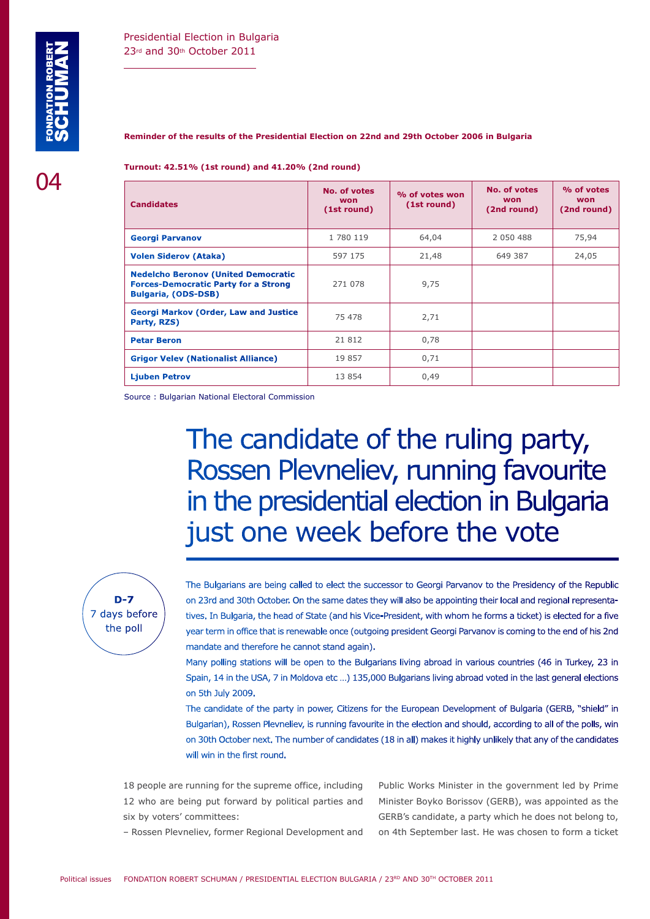#### **Reminder of the results of the Presidential Election on 22nd and 29th October 2006 in Bulgaria**

**Turnout: 42.51% (1st round) and 41.20% (2nd round)**

| <b>Candidates</b>                                                                                                       | No. of votes<br><b>won</b><br>(1st round) | % of votes won<br>(1st round) | <b>No. of votes</b><br>won<br>(2nd round) | % of votes<br>won<br>(2nd round) |
|-------------------------------------------------------------------------------------------------------------------------|-------------------------------------------|-------------------------------|-------------------------------------------|----------------------------------|
| <b>Georgi Parvanov</b>                                                                                                  | 1 780 119                                 | 64,04                         | 2 050 488                                 | 75,94                            |
| <b>Volen Siderov (Ataka)</b>                                                                                            | 597 175                                   | 21,48                         | 649 387                                   | 24,05                            |
| <b>Nedelcho Beronov (United Democratic</b><br><b>Forces-Democratic Party for a Strong</b><br><b>Bulgaria, (ODS-DSB)</b> | 271 078                                   | 9,75                          |                                           |                                  |
| <b>Georgi Markov (Order, Law and Justice</b><br>Party, RZS)                                                             | 75 478                                    | 2,71                          |                                           |                                  |
| <b>Petar Beron</b>                                                                                                      | 21 812                                    | 0,78                          |                                           |                                  |
| <b>Grigor Velev (Nationalist Alliance)</b>                                                                              | 19857                                     | 0,71                          |                                           |                                  |
| <b>Liuben Petrov</b>                                                                                                    | 13 854                                    | 0,49                          |                                           |                                  |

Source : Bulgarian National Electoral Commission

# The candidate of the ruling party, Rossen Plevneliev, running favourite in the presidential election in Bulgaria just one week before the vote



The Bulgarians are being called to elect the successor to Georgi Parvanov to the Presidency of the Republic on 23rd and 30th October. On the same dates they will also be appointing their local and regional representatives. In Bulgaria, the head of State (and his Vice-President, with whom he forms a ticket) is elected for a five year term in office that is renewable once (outgoing president Georgi Parvanov is coming to the end of his 2nd mandate and therefore he cannot stand again).

Many polling stations will be open to the Bulgarians living abroad in various countries (46 in Turkey, 23 in Spain, 14 in the USA, 7 in Moldova etc …) 135,000 Bulgarians living abroad voted in the last general elections on 5th July 2009.

The candidate of the party in power, Citizens for the European Development of Bulgaria (GERB, "shield" in Bulgarian), Rossen Plevneliev, is running favourite in the election and should, according to all of the polls, win on 30th October next. The number of candidates (18 in all) makes it highly unlikely that any of the candidates will win in the first round.

18 people are running for the supreme office, including 12 who are being put forward by political parties and six by voters' committees:

Public Works Minister in the government led by Prime Minister Boyko Borissov (GERB), was appointed as the GERB's candidate, a party which he does not belong to, on 4th September last. He was chosen to form a ticket

– Rossen Plevneliev, former Regional Development and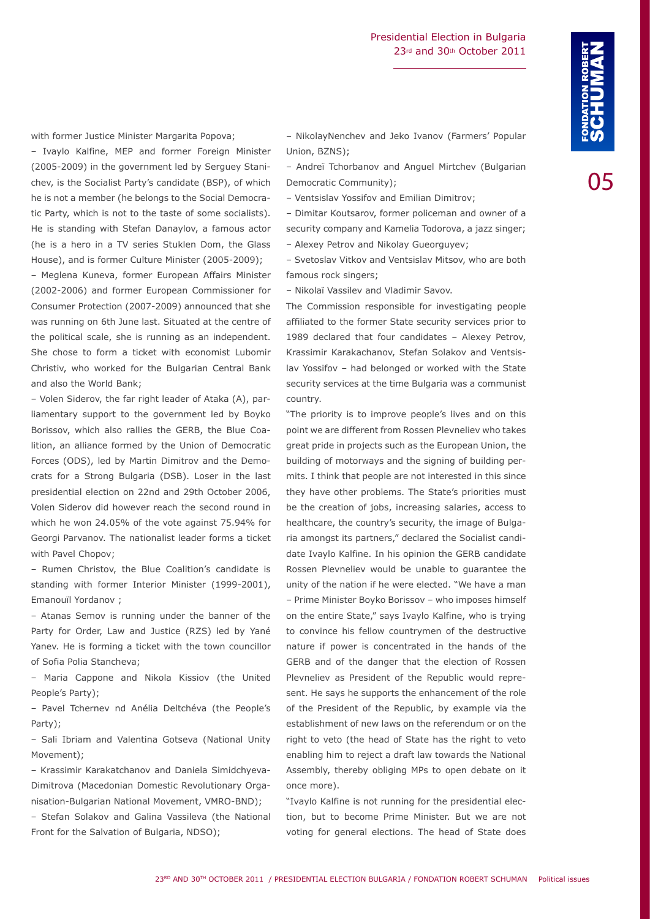with former Justice Minister Margarita Popova;

– Ivaylo Kalfine, MEP and former Foreign Minister (2005-2009) in the government led by Serguey Stanichev, is the Socialist Party's candidate (BSP), of which he is not a member (he belongs to the Social Democratic Party, which is not to the taste of some socialists). He is standing with Stefan Danaylov, a famous actor (he is a hero in a TV series Stuklen Dom, the Glass House), and is former Culture Minister (2005-2009);

– Meglena Kuneva, former European Affairs Minister (2002-2006) and former European Commissioner for Consumer Protection (2007-2009) announced that she was running on 6th June last. Situated at the centre of the political scale, she is running as an independent. She chose to form a ticket with economist Lubomir Christiv, who worked for the Bulgarian Central Bank and also the World Bank;

– Volen Siderov, the far right leader of Ataka (A), parliamentary support to the government led by Boyko Borissov, which also rallies the GERB, the Blue Coalition, an alliance formed by the Union of Democratic Forces (ODS), led by Martin Dimitrov and the Democrats for a Strong Bulgaria (DSB). Loser in the last presidential election on 22nd and 29th October 2006, Volen Siderov did however reach the second round in which he won 24.05% of the vote against 75.94% for Georgi Parvanov. The nationalist leader forms a ticket with Pavel Chopov;

– Rumen Christov, the Blue Coalition's candidate is standing with former Interior Minister (1999-2001), Emanouïl Yordanov ;

– Atanas Semov is running under the banner of the Party for Order, Law and Justice (RZS) led by Yané Yanev. He is forming a ticket with the town councillor of Sofia Polia Stancheva;

– Maria Cappone and Nikola Kissiov (the United People's Party);

– Pavel Tchernev nd Anélia Deltchéva (the People's Party);

– Sali Ibriam and Valentina Gotseva (National Unity Movement);

– Krassimir Karakatchanov and Daniela Simidchyeva-Dimitrova (Macedonian Domestic Revolutionary Organisation-Bulgarian National Movement, VMRO-BND);

– Stefan Solakov and Galina Vassileva (the National Front for the Salvation of Bulgaria, NDSO);

– NikolayNenchev and Jeko Ivanov (Farmers' Popular Union, BZNS);

– Andreï Tchorbanov and Anguel Mirtchev (Bulgarian Democratic Community);

– Ventsislav Yossifov and Emilian Dimitrov;

– Dimitar Koutsarov, former policeman and owner of a security company and Kamelia Todorova, a jazz singer; – Alexey Petrov and Nikolay Gueorguyev;

– Svetoslav Vitkov and Ventsislav Mitsov, who are both famous rock singers;

– Nikolaï Vassilev and Vladimir Savov.

The Commission responsible for investigating people affiliated to the former State security services prior to 1989 declared that four candidates – Alexey Petrov, Krassimir Karakachanov, Stefan Solakov and Ventsislav Yossifov – had belonged or worked with the State security services at the time Bulgaria was a communist country.

"The priority is to improve people's lives and on this point we are different from Rossen Plevneliev who takes great pride in projects such as the European Union, the building of motorways and the signing of building permits. I think that people are not interested in this since they have other problems. The State's priorities must be the creation of jobs, increasing salaries, access to healthcare, the country's security, the image of Bulgaria amongst its partners," declared the Socialist candidate Ivaylo Kalfine. In his opinion the GERB candidate Rossen Plevneliev would be unable to guarantee the unity of the nation if he were elected. "We have a man – Prime Minister Boyko Borissov – who imposes himself on the entire State," says Ivaylo Kalfine, who is trying to convince his fellow countrymen of the destructive nature if power is concentrated in the hands of the GERB and of the danger that the election of Rossen Plevneliev as President of the Republic would represent. He says he supports the enhancement of the role of the President of the Republic, by example via the establishment of new laws on the referendum or on the right to veto (the head of State has the right to veto enabling him to reject a draft law towards the National Assembly, thereby obliging MPs to open debate on it once more).

"Ivaylo Kalfine is not running for the presidential election, but to become Prime Minister. But we are not voting for general elections. The head of State does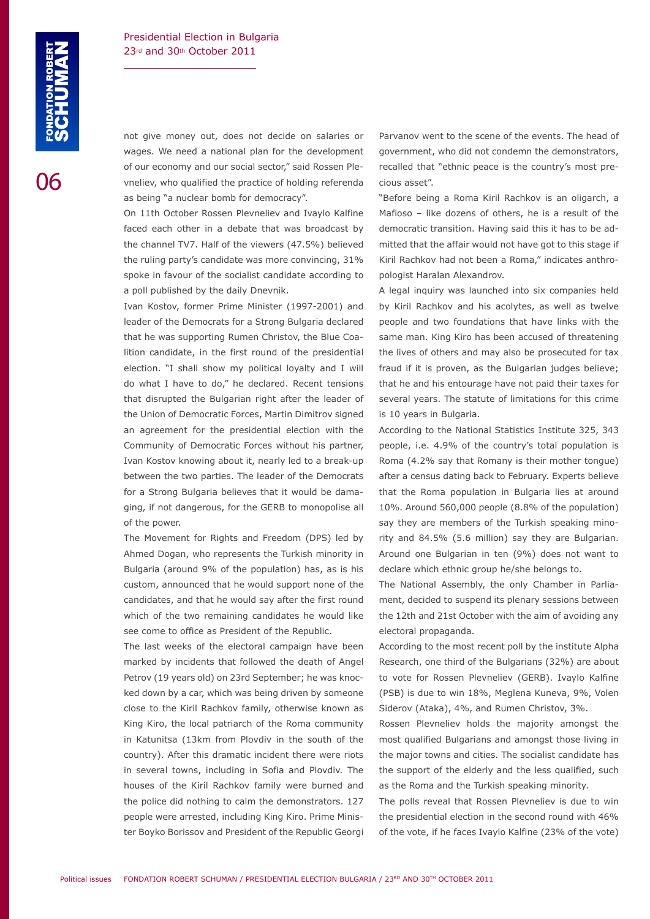not give money out, does not decide on salaries or wages. We need a national plan for the development of our economy and our social sector," said Rossen Plevneliev, who qualified the practice of holding referenda as being "a nuclear bomb for democracy".

On 11th October Rossen Plevneliev and Ivaylo Kalfine faced each other in a debate that was broadcast by the channel TV7. Half of the viewers (47.5%) believed the ruling party's candidate was more convincing, 31% spoke in favour of the socialist candidate according to a poll published by the daily Dnevnik.

Ivan Kostov, former Prime Minister (1997-2001) and leader of the Democrats for a Strong Bulgaria declared that he was supporting Rumen Christov, the Blue Coalition candidate, in the first round of the presidential election. "I shall show my political loyalty and I will do what I have to do," he declared. Recent tensions that disrupted the Bulgarian right after the leader of the Union of Democratic Forces, Martin Dimitrov signed an agreement for the presidential election with the Community of Democratic Forces without his partner, Ivan Kostov knowing about it, nearly led to a break-up between the two parties. The leader of the Democrats for a Strong Bulgaria believes that it would be damaging, if not dangerous, for the GERB to monopolise all of the power.

The Movement for Rights and Freedom (DPS) led by Ahmed Dogan, who represents the Turkish minority in Bulgaria (around 9% of the population) has, as is his custom, announced that he would support none of the candidates, and that he would say after the first round which of the two remaining candidates he would like see come to office as President of the Republic.

The last weeks of the electoral campaign have been marked by incidents that followed the death of Angel Petrov (19 years old) on 23rd September; he was knocked down by a car, which was being driven by someone close to the Kiril Rachkov family, otherwise known as King Kiro, the local patriarch of the Roma community in Katunitsa (13km from Plovdiv in the south of the country). After this dramatic incident there were riots in several towns, including in Sofia and Plovdiv. The houses of the Kiril Rachkov family were burned and the police did nothing to calm the demonstrators. 127 people were arrested, including King Kiro. Prime Minister Boyko Borissov and President of the Republic Georgi Parvanov went to the scene of the events. The head of government, who did not condemn the demonstrators, recalled that "ethnic peace is the country's most precious asset".

"Before being a Roma Kiril Rachkov is an oligarch, a Mafioso – like dozens of others, he is a result of the democratic transition. Having said this it has to be admitted that the affair would not have got to this stage if Kiril Rachkov had not been a Roma," indicates anthropologist Haralan Alexandrov.

A legal inquiry was launched into six companies held by Kiril Rachkov and his acolytes, as well as twelve people and two foundations that have links with the same man. King Kiro has been accused of threatening the lives of others and may also be prosecuted for tax fraud if it is proven, as the Bulgarian judges believe; that he and his entourage have not paid their taxes for several years. The statute of limitations for this crime is 10 years in Bulgaria.

According to the National Statistics Institute 325, 343 people, i.e. 4.9% of the country's total population is Roma (4.2% say that Romany is their mother tongue) after a census dating back to February. Experts believe that the Roma population in Bulgaria lies at around 10%. Around 560,000 people (8.8% of the population) say they are members of the Turkish speaking minority and 84.5% (5.6 million) say they are Bulgarian. Around one Bulgarian in ten (9%) does not want to declare which ethnic group he/she belongs to.

The National Assembly, the only Chamber in Parliament, decided to suspend its plenary sessions between the 12th and 21st October with the aim of avoiding any electoral propaganda.

According to the most recent poll by the institute Alpha Research, one third of the Bulgarians (32%) are about to vote for Rossen Plevneliev (GERB). Ivaylo Kalfine (PSB) is due to win 18%, Meglena Kuneva, 9%, Volen Siderov (Ataka), 4%, and Rumen Christov, 3%.

Rossen Plevneliev holds the majority amongst the most qualified Bulgarians and amongst those living in the major towns and cities. The socialist candidate has the support of the elderly and the less qualified, such as the Roma and the Turkish speaking minority.

The polls reveal that Rossen Plevneliev is due to win the presidential election in the second round with 46% of the vote, if he faces Ivaylo Kalfine (23% of the vote)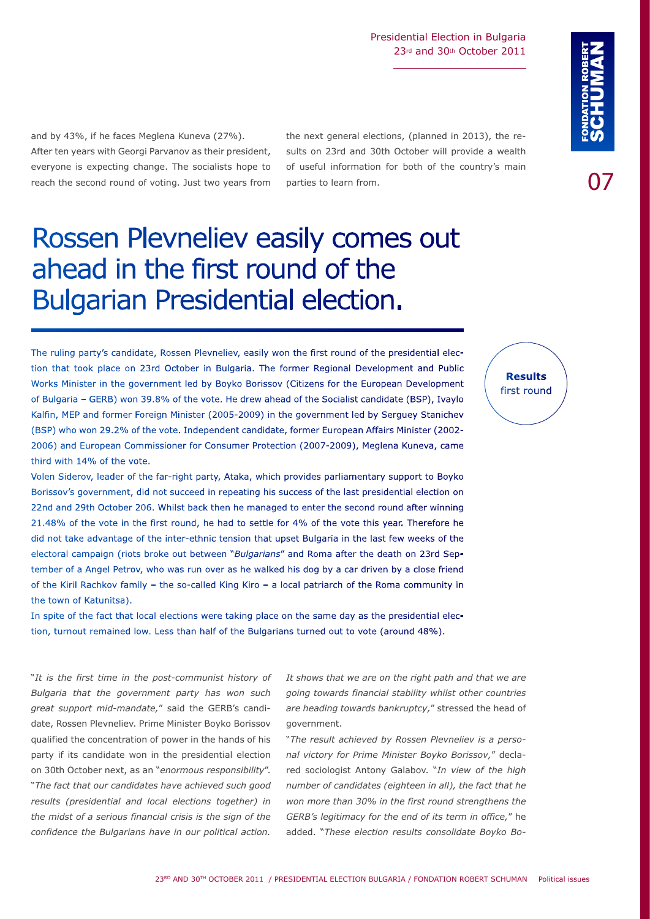and by 43%, if he faces Meglena Kuneva (27%). After ten years with Georgi Parvanov as their president, everyone is expecting change. The socialists hope to reach the second round of voting. Just two years from

the next general elections, (planned in 2013), the results on 23rd and 30th October will provide a wealth of useful information for both of the country's main parties to learn from.

# Rossen Plevneliev easily comes out ahead in the first round of the Bulgarian Presidential election.

The ruling party's candidate, Rossen Plevneliev, easily won the first round of the presidential election that took place on 23rd October in Bulgaria. The former Regional Development and Public Works Minister in the government led by Boyko Borissov (Citizens for the European Development of Bulgaria – GERB) won 39.8% of the vote. He drew ahead of the Socialist candidate (BSP), Ivaylo Kalfin, MEP and former Foreign Minister (2005-2009) in the government led by Serguey Stanichev (BSP) who won 29.2% of the vote. Independent candidate, former European Affairs Minister (2002- 2006) and European Commissioner for Consumer Protection (2007-2009), Meglena Kuneva, came third with 14% of the vote.

Volen Siderov, leader of the far-right party, Ataka, which provides parliamentary support to Boyko Borissov's government, did not succeed in repeating his success of the last presidential election on 22nd and 29th October 206. Whilst back then he managed to enter the second round after winning 21.48% of the vote in the first round, he had to settle for 4% of the vote this year. Therefore he did not take advantage of the inter-ethnic tension that upset Bulgaria in the last few weeks of the electoral campaign (riots broke out between "*Bulgarians*" and Roma after the death on 23rd September of a Angel Petrov, who was run over as he walked his dog by a car driven by a close friend of the Kiril Rachkov family – the so-called King Kiro – a local patriarch of the Roma community in the town of Katunitsa).

In spite of the fact that local elections were taking place on the same day as the presidential election, turnout remained low. Less than half of the Bulgarians turned out to vote (around 48%).

"*It is the first time in the post-communist history of Bulgaria that the government party has won such great support mid-mandate,*" said the GERB's candidate, Rossen Plevneliev. Prime Minister Boyko Borissov qualified the concentration of power in the hands of his party if its candidate won in the presidential election on 30th October next, as an "*enormous responsibility*". "*The fact that our candidates have achieved such good results (presidential and local elections together) in the midst of a serious financial crisis is the sign of the confidence the Bulgarians have in our political action.* 

*It shows that we are on the right path and that we are going towards financial stability whilst other countries are heading towards bankruptcy,*" stressed the head of government.

"*The result achieved by Rossen Plevneliev is a personal victory for Prime Minister Boyko Borissov,*" declared sociologist Antony Galabov. "*In view of the high number of candidates (eighteen in all), the fact that he won more than 30% in the first round strengthens the GERB's legitimacy for the end of its term in office,*" he added. "*These election results consolidate Boyko Bo-*

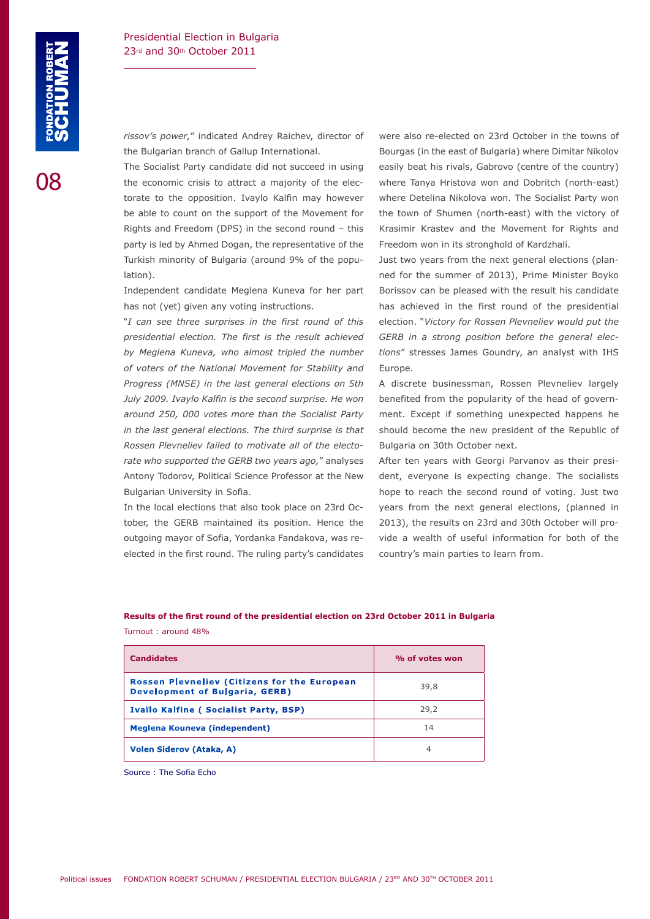*rissov's power,*" indicated Andrey Raichev, director of the Bulgarian branch of Gallup International.

The Socialist Party candidate did not succeed in using the economic crisis to attract a majority of the electorate to the opposition. Ivaylo Kalfin may however be able to count on the support of the Movement for Rights and Freedom (DPS) in the second round – this party is led by Ahmed Dogan, the representative of the Turkish minority of Bulgaria (around 9% of the population).

Independent candidate Meglena Kuneva for her part has not (yet) given any voting instructions.

"*I can see three surprises in the first round of this presidential election. The first is the result achieved by Meglena Kuneva, who almost tripled the number of voters of the National Movement for Stability and Progress (MNSE) in the last general elections on 5th July 2009. Ivaylo Kalfin is the second surprise. He won around 250, 000 votes more than the Socialist Party in the last general elections. The third surprise is that Rossen Plevneliev failed to motivate all of the electorate who supported the GERB two years ago,*" analyses Antony Todorov, Political Science Professor at the New Bulgarian University in Sofia.

In the local elections that also took place on 23rd October, the GERB maintained its position. Hence the outgoing mayor of Sofia, Yordanka Fandakova, was reelected in the first round. The ruling party's candidates were also re-elected on 23rd October in the towns of Bourgas (in the east of Bulgaria) where Dimitar Nikolov easily beat his rivals, Gabrovo (centre of the country) where Tanya Hristova won and Dobritch (north-east) where Detelina Nikolova won. The Socialist Party won the town of Shumen (north-east) with the victory of Krasimir Krastev and the Movement for Rights and Freedom won in its stronghold of Kardzhali.

Just two years from the next general elections (planned for the summer of 2013), Prime Minister Boyko Borissov can be pleased with the result his candidate has achieved in the first round of the presidential election. "*Victory for Rossen Plevneliev would put the GERB in a strong position before the general elections*" stresses James Goundry, an analyst with IHS Europe.

A discrete businessman, Rossen Plevneliev largely benefited from the popularity of the head of government. Except if something unexpected happens he should become the new president of the Republic of Bulgaria on 30th October next.

After ten years with Georgi Parvanov as their president, everyone is expecting change. The socialists hope to reach the second round of voting. Just two years from the next general elections, (planned in 2013), the results on 23rd and 30th October will provide a wealth of useful information for both of the country's main parties to learn from.

**Results of the first round of the presidential election on 23rd October 2011 in Bulgaria** Turnout : around 48%

| <b>Candidates</b>                                                                            | % of votes won |
|----------------------------------------------------------------------------------------------|----------------|
| <b>Rossen Plevneliev (Citizens for the European</b><br><b>Development of Bulgaria, GERB)</b> | 39,8           |
| Ivaïlo Kalfine (Socialist Party, BSP)                                                        | 29,2           |
| Meglena Kouneva (independent)                                                                | 14             |
| <b>Volen Siderov (Ataka, A)</b>                                                              | 4              |

Source : The Sofia Echo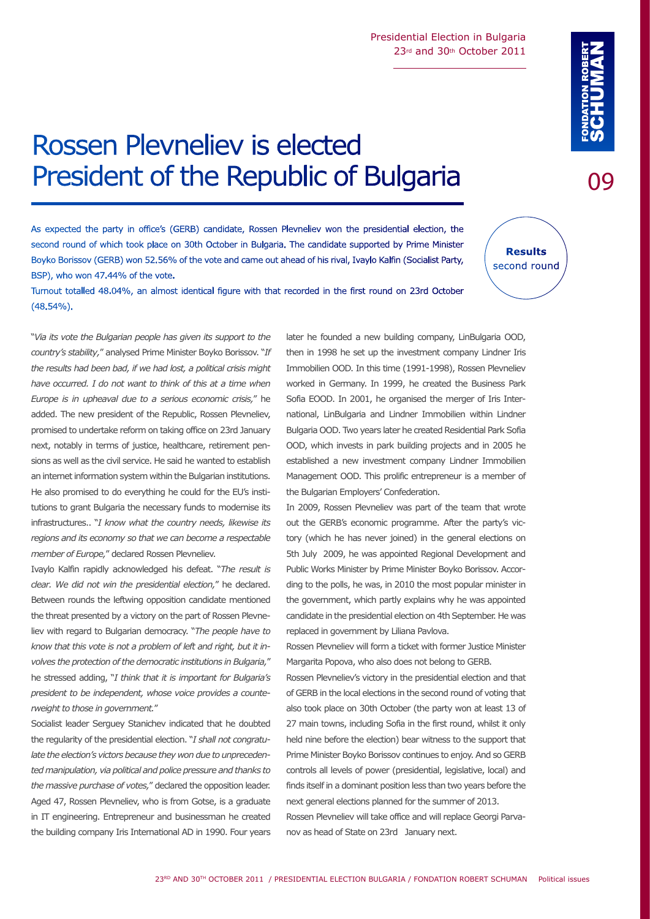#### Rossen Plevneliev will form a ticket with former Justice Minister

Rossen Plevneliev's victory in the presidential election and that of GERB in the local elections in the second round of voting that also took place on 30th October (the party won at least 13 of 27 main towns, including Sofia in the first round, whilst it only held nine before the election) bear witness to the support that Prime Minister Boyko Borissov continues to enjoy. And so GERB controls all levels of power (presidential, legislative, local) and finds itself in a dominant position less than two years before the next general elections planned for the summer of 2013. Rossen Plevneliev will take office and will replace Georgi Parvanov as head of State on 23rd January next.

later he founded a new building company, LinBulgaria OOD, then in 1998 he set up the investment company Lindner Iris Immobilien OOD. In this time (1991-1998), Rossen Plevneliev worked in Germany. In 1999, he created the Business Park Sofia EOOD. In 2001, he organised the merger of Iris International, LinBulgaria and Lindner Immobilien within Lindner Bulgaria OOD. Two years later he created Residential Park Sofia OOD, which invests in park building projects and in 2005 he established a new investment company Lindner Immobilien Management OOD. This prolific entrepreneur is a member of

In 2009, Rossen Plevneliev was part of the team that wrote out the GERB's economic programme. After the party's victory (which he has never joined) in the general elections on 5th July 2009, he was appointed Regional Development and Public Works Minister by Prime Minister Boyko Borissov. According to the polls, he was, in 2010 the most popular minister in the government, which partly explains why he was appointed candidate in the presidential election on 4th September. He was

the Bulgarian Employers' Confederation.

replaced in government by Liliana Pavlova.

Margarita Popova, who also does not belong to GERB.

23RD AND 30TH OCTOBER 2011 / PRESIDENTIAL ELECTION BULGARIA / FONDATION ROBERT SCHUMAN Political issues

## Rossen Plevneliev is elected President of the Republic of Bulgaria

As expected the party in office's (GERB) candidate, Rossen Plevneliev won the presidential election, the second round of which took place on 30th October in Bulgaria. The candidate supported by Prime Minister Boyko Borissov (GERB) won 52.56% of the vote and came out ahead of his rival, Ivaylo Kalfin (Socialist Party, BSP), who won 47.44% of the vote.

(48.54%).

"*Via its vote the Bulgarian people has given its support to the country's stability,*" analysed Prime Minister Boyko Borissov. "*If the results had been bad, if we had lost, a political crisis might have occurred. I do not want to think of this at a time when Europe is in upheaval due to a serious economic crisis,*" he added. The new president of the Republic, Rossen Plevneliev, promised to undertake reform on taking office on 23rd January next, notably in terms of justice, healthcare, retirement pensions as well as the civil service. He said he wanted to establish an internet information system within the Bulgarian institutions. He also promised to do everything he could for the EU's institutions to grant Bulgaria the necessary funds to modernise its infrastructures.. "*I know what the country needs, likewise its regions and its economy so that we can become a respectable member of Europe,*" declared Rossen Plevneliev.

Ivaylo Kalfin rapidly acknowledged his defeat. "*The result is clear. We did not win the presidential election,*" he declared. Between rounds the leftwing opposition candidate mentioned the threat presented by a victory on the part of Rossen Plevneliev with regard to Bulgarian democracy. "*The people have to know that this vote is not a problem of left and right, but it involves the protection of the democratic institutions in Bulgaria,*" he stressed adding, "*I think that it is important for Bulgaria's president to be independent, whose voice provides a counterweight to those in government.*"

Socialist leader Serguey Stanichev indicated that he doubted the regularity of the presidential election. "*I shall not congratulate the election's victors because they won due to unprecedented manipulation, via political and police pressure and thanks to the massive purchase of votes,*" declared the opposition leader. Aged 47, Rossen Plevneliev, who is from Gotse, is a graduate in IT engineering. Entrepreneur and businessman he created the building company Iris International AD in 1990. Four years

Turnout totalled 48.04%, an almost identical figure with that recorded in the first round on 23rd October

**Results** second round